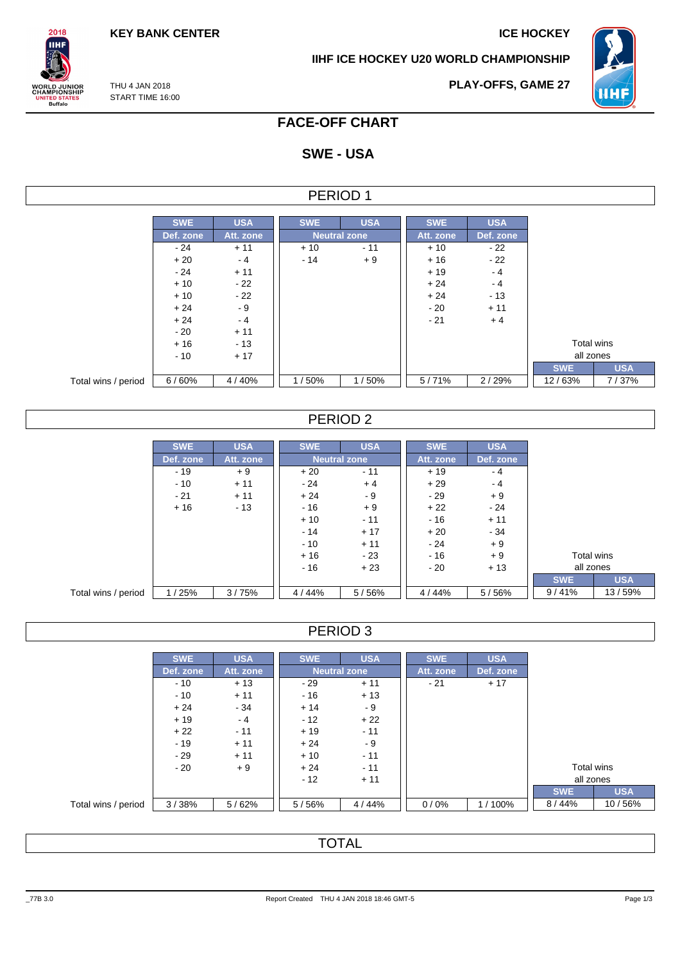**KEY BANK CENTER ICE HOCKEY** 

 $2018$ **IIHF** 

**WORLD JUNIOR<br>CHAMPIONSHIP<br>UNITED STATES<br>Buffalo** 

**IIHF ICE HOCKEY U20 WORLD CHAMPIONSHIP**



THU 4 JAN 2018 START TIME 16:00 **PLAY-OFFS, GAME 27**

## **FACE-OFF CHART**

# **SWE - USA**

| PERIOD |  |
|--------|--|
|--------|--|

|                     | <b>SWE</b> | <b>USA</b> | <b>SWE</b> | <b>USA</b>          | <b>SWE</b> | <b>USA</b> |
|---------------------|------------|------------|------------|---------------------|------------|------------|
|                     | Def. zone  | Att. zone  |            | <b>Neutral zone</b> | Att. zone  | Def. zone  |
|                     | $-24$      | $+11$      | $+10$      | $-11$               | $+10$      | $-22$      |
|                     | $+20$      | $-4$       | $-14$      | $+9$                | $+16$      | $-22$      |
|                     | $-24$      | $+11$      |            |                     | $+19$      | $-4$       |
|                     | $+10$      | $-22$      |            |                     | $+24$      | $-4$       |
|                     | $+10$      | $-22$      |            |                     | $+24$      | $-13$      |
|                     | $+24$      | $-9$       |            |                     | $-20$      | $+11$      |
|                     | $+24$      | $-4$       |            |                     | $-21$      | $+4$       |
|                     | $-20$      | $+11$      |            |                     |            |            |
|                     | $+16$      | $-13$      |            |                     |            |            |
|                     | $-10$      | $+17$      |            |                     |            |            |
|                     |            |            |            |                     |            |            |
| Total wins / period | 6/60%      | 4/40%      | 1/50%      | 1/50%               | 5/71%      | 2/29%      |

### PERIOD 2

|                     | <b>SWE</b> | <b>USA</b> | <b>SWE</b> | <b>USA</b>          | <b>SWE</b> | <b>USA</b> |            |            |
|---------------------|------------|------------|------------|---------------------|------------|------------|------------|------------|
|                     | Def. zone  | Att. zone  |            | <b>Neutral zone</b> | Att. zone  | Def. zone  |            |            |
|                     | $-19$      | $+9$       | $+20$      | $-11$               | $+19$      | $-4$       |            |            |
|                     | $-10$      | $+11$      | $-24$      | $+4$                | $+29$      | $-4$       |            |            |
|                     | $-21$      | $+11$      | $+24$      | - 9                 | - 29       | $+9$       |            |            |
|                     | $+16$      | $-13$      | - 16       | $+9$                | $+22$      | $-24$      |            |            |
|                     |            |            | $+10$      | $-11$               | $-16$      | $+11$      |            |            |
|                     |            |            | $-14$      | $+17$               | $+20$      | $-34$      |            |            |
|                     |            |            | $-10$      | $+11$               | $-24$      | $+9$       |            |            |
|                     |            |            | $+16$      | $-23$               | $-16$      | $+9$       | Total wins |            |
|                     |            |            | $-16$      | $+23$               | $-20$      | $+13$      | all zones  |            |
|                     |            |            |            |                     |            |            | <b>SWE</b> | <b>USA</b> |
| Total wins / period | 1/25%      | 3/75%      | 4/44%      | 5/56%               | 4/44%      | 5/56%      | 9/41%      | 13/59%     |

| PERIOD 3 |  |
|----------|--|
|----------|--|

|                     | <b>SWE</b> | <b>USA</b> | <b>SWE</b> | <b>USA</b>          | <b>SWE</b> | <b>USA</b> |
|---------------------|------------|------------|------------|---------------------|------------|------------|
|                     | Def. zone  | Att. zone  |            | <b>Neutral zone</b> | Att. zone  | Def. zone  |
|                     | $-10$      | $+13$      | $-29$      | $+11$               | $-21$      | $+17$      |
|                     | $-10$      | $+11$      | $-16$      | $+13$               |            |            |
|                     | $+24$      | $-34$      | $+14$      | - 9                 |            |            |
|                     | $+19$      | $-4$       | $-12$      | $+22$               |            |            |
|                     | $+22$      | $-11$      | $+19$      | $-11$               |            |            |
|                     | $-19$      | $+11$      | $+24$      | - 9                 |            |            |
|                     | $-29$      | $+11$      | $+10$      | $-11$               |            |            |
|                     | $-20$      | $+9$       | $+24$      | $-11$               |            |            |
|                     |            |            | $-12$      | $+11$               |            |            |
|                     |            |            |            |                     |            |            |
| Total wins / period | 3/38%      | 5/62%      | 5/56%      | 4/44%               | 0/0%       | 1/100%     |

TOTAL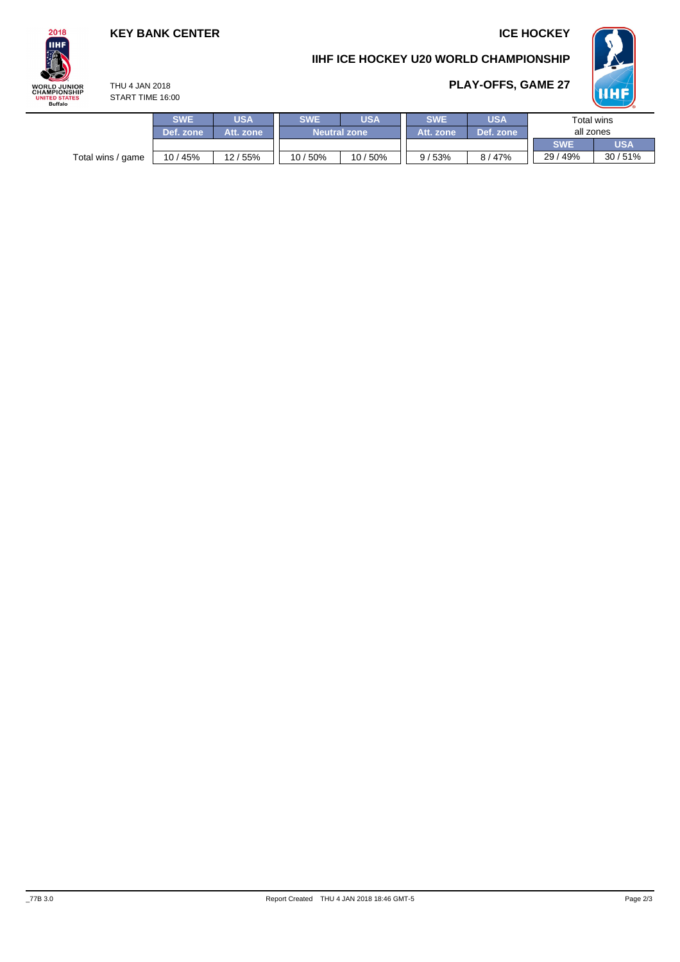## **KEY BANK CENTER ICE HOCKEY**

**PLAY-OFFS, GAME 27**





### THU 4 JAN 2018 START TIME 16:00



|                   | <b>SWE</b> | <b>JSA</b> | <b>SWE</b><br><b>JSA</b> |          | <b>SWE</b> | <b>USA</b> | Total wins |            |  |
|-------------------|------------|------------|--------------------------|----------|------------|------------|------------|------------|--|
|                   | Def. zone  | Att. zone  | <b>Neutral zone</b>      |          | Att. zone  | Def. zone  | all zones  |            |  |
|                   |            |            |                          |          |            |            | <b>SWE</b> | <b>USA</b> |  |
| Total wins / game | 10 / 45%   | 12/55%     | 10 / 50%                 | 10 / 50% | 9/53%      | 8/47%      | 29 / 49%   | 30/51%     |  |